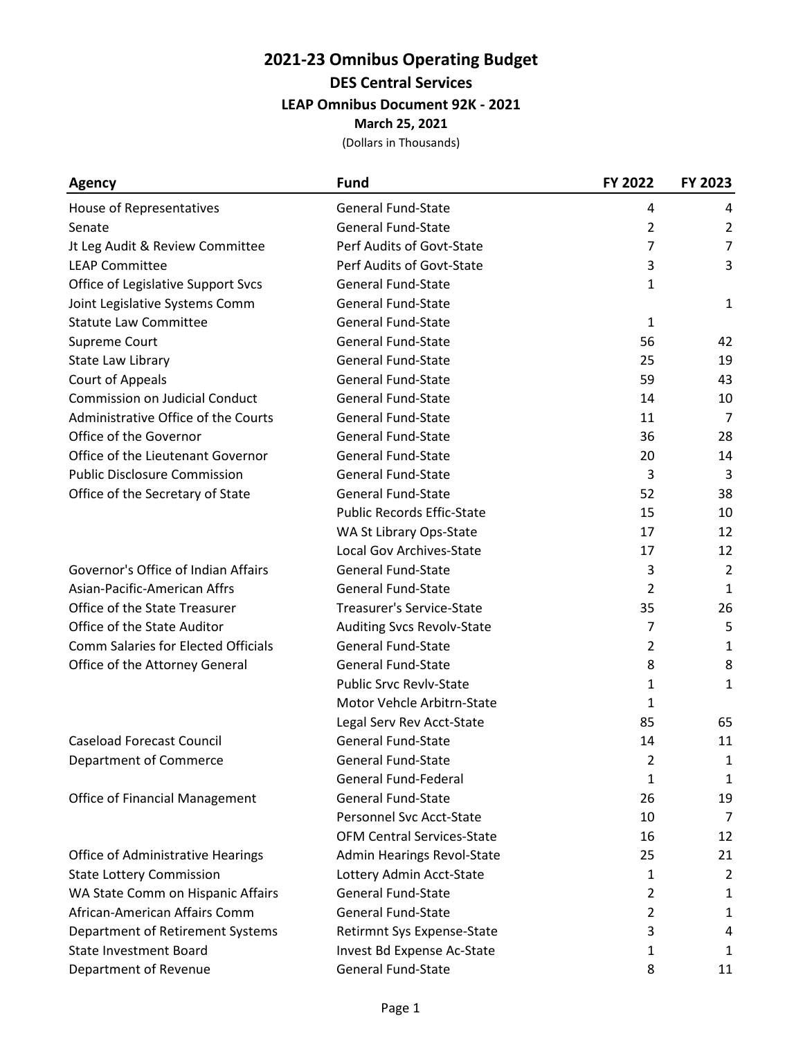### **2021-23 Omnibus Operating Budget DES Central Services LEAP Omnibus Document 92K - 2021 March 25, 2021**

|  | (Dollars in Thousands) |
|--|------------------------|
|--|------------------------|

| <b>Agency</b>                              | <b>Fund</b>                       | FY 2022        | FY 2023        |
|--------------------------------------------|-----------------------------------|----------------|----------------|
| House of Representatives                   | <b>General Fund-State</b>         | 4              | 4              |
| Senate                                     | <b>General Fund-State</b>         | $\overline{2}$ | $\overline{2}$ |
| Jt Leg Audit & Review Committee            | Perf Audits of Govt-State         | 7              | 7              |
| <b>LEAP Committee</b>                      | Perf Audits of Govt-State         | 3              | 3              |
| Office of Legislative Support Svcs         | <b>General Fund-State</b>         | 1              |                |
| Joint Legislative Systems Comm             | <b>General Fund-State</b>         |                | 1              |
| <b>Statute Law Committee</b>               | <b>General Fund-State</b>         | 1              |                |
| Supreme Court                              | <b>General Fund-State</b>         | 56             | 42             |
| State Law Library                          | <b>General Fund-State</b>         | 25             | 19             |
| Court of Appeals                           | <b>General Fund-State</b>         | 59             | 43             |
| <b>Commission on Judicial Conduct</b>      | <b>General Fund-State</b>         | 14             | 10             |
| Administrative Office of the Courts        | <b>General Fund-State</b>         | 11             | 7              |
| Office of the Governor                     | <b>General Fund-State</b>         | 36             | 28             |
| Office of the Lieutenant Governor          | General Fund-State                | 20             | 14             |
| <b>Public Disclosure Commission</b>        | <b>General Fund-State</b>         | 3              | 3              |
| Office of the Secretary of State           | <b>General Fund-State</b>         | 52             | 38             |
|                                            | <b>Public Records Effic-State</b> | 15             | 10             |
|                                            | WA St Library Ops-State           | 17             | 12             |
|                                            | Local Gov Archives-State          | 17             | 12             |
| Governor's Office of Indian Affairs        | <b>General Fund-State</b>         | 3              | $\overline{2}$ |
| Asian-Pacific-American Affrs               | <b>General Fund-State</b>         | $\overline{2}$ | $\mathbf{1}$   |
| Office of the State Treasurer              | <b>Treasurer's Service-State</b>  | 35             | 26             |
| Office of the State Auditor                | <b>Auditing Svcs Revolv-State</b> | 7              | 5              |
| <b>Comm Salaries for Elected Officials</b> | <b>General Fund-State</b>         | 2              | $\mathbf{1}$   |
| Office of the Attorney General             | <b>General Fund-State</b>         | 8              | 8              |
|                                            | <b>Public Srvc Revlv-State</b>    | 1              | 1              |
|                                            | <b>Motor Vehcle Arbitrn-State</b> | 1              |                |
|                                            | Legal Serv Rev Acct-State         | 85             | 65             |
| <b>Caseload Forecast Council</b>           | <b>General Fund-State</b>         | 14             | 11             |
| Department of Commerce                     | General Fund-State                | 2              | $\mathbf{1}$   |
|                                            | <b>General Fund-Federal</b>       | 1              | 1              |
| Office of Financial Management             | <b>General Fund-State</b>         | 26             | 19             |
|                                            | Personnel Svc Acct-State          | 10             | 7              |
|                                            | <b>OFM Central Services-State</b> | 16             | 12             |
| <b>Office of Administrative Hearings</b>   | Admin Hearings Revol-State        | 25             | 21             |
| <b>State Lottery Commission</b>            | Lottery Admin Acct-State          | 1              | $\overline{2}$ |
| WA State Comm on Hispanic Affairs          | <b>General Fund-State</b>         | 2              | 1              |
| African-American Affairs Comm              | <b>General Fund-State</b>         | $\overline{2}$ | $\mathbf{1}$   |
| Department of Retirement Systems           | Retirmnt Sys Expense-State        | 3              | 4              |
| <b>State Investment Board</b>              | Invest Bd Expense Ac-State        | 1              | $\mathbf{1}$   |
| Department of Revenue                      | <b>General Fund-State</b>         | 8              | 11             |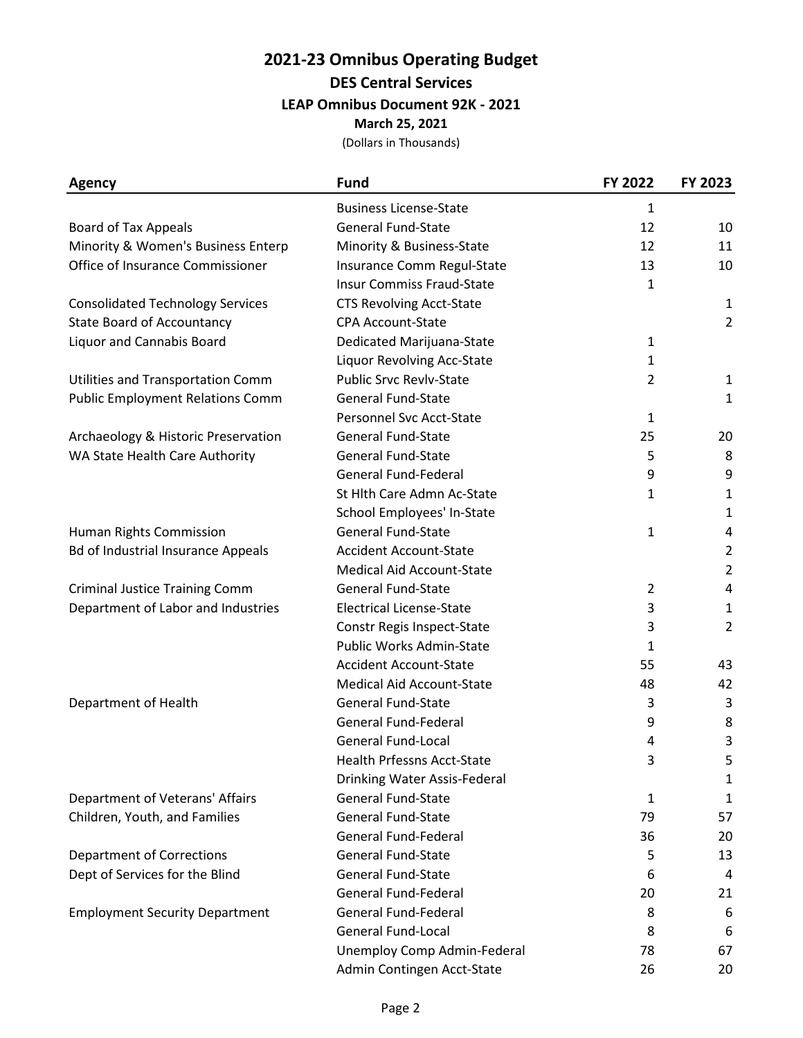## **2021-23 Omnibus Operating Budget DES Central Services LEAP Omnibus Document 92K - 2021**

**March 25, 2021**

(Dollars in Thousands)

| <b>Agency</b>                             | <b>Fund</b>                       | FY 2022        | FY 2023        |
|-------------------------------------------|-----------------------------------|----------------|----------------|
|                                           | <b>Business License-State</b>     | 1              |                |
| <b>Board of Tax Appeals</b>               | <b>General Fund-State</b>         | 12             | 10             |
| Minority & Women's Business Enterp        | Minority & Business-State         | 12             | 11             |
| Office of Insurance Commissioner          | Insurance Comm Regul-State        | 13             | 10             |
|                                           | <b>Insur Commiss Fraud-State</b>  | 1              |                |
| <b>Consolidated Technology Services</b>   | <b>CTS Revolving Acct-State</b>   |                | 1              |
| <b>State Board of Accountancy</b>         | <b>CPA Account-State</b>          |                | $\overline{2}$ |
| <b>Liquor and Cannabis Board</b>          | Dedicated Marijuana-State         | 1              |                |
|                                           | Liquor Revolving Acc-State        | 1              |                |
| <b>Utilities and Transportation Comm</b>  | <b>Public Srvc Revlv-State</b>    | $\overline{2}$ | 1              |
| <b>Public Employment Relations Comm</b>   | <b>General Fund-State</b>         |                | 1              |
|                                           | Personnel Svc Acct-State          | $\mathbf{1}$   |                |
| Archaeology & Historic Preservation       | General Fund-State                | 25             | 20             |
| WA State Health Care Authority            | <b>General Fund-State</b>         | 5              | 8              |
|                                           | General Fund-Federal              | 9              | 9              |
|                                           | St Hlth Care Admn Ac-State        | 1              | 1              |
|                                           | School Employees' In-State        |                | $\mathbf{1}$   |
| Human Rights Commission                   | <b>General Fund-State</b>         | $\mathbf{1}$   | 4              |
| <b>Bd of Industrial Insurance Appeals</b> | <b>Accident Account-State</b>     |                | $\overline{2}$ |
|                                           | <b>Medical Aid Account-State</b>  |                | $\overline{2}$ |
| <b>Criminal Justice Training Comm</b>     | <b>General Fund-State</b>         | 2              | 4              |
| Department of Labor and Industries        | <b>Electrical License-State</b>   | 3              | 1              |
|                                           | Constr Regis Inspect-State        | 3              | $\overline{2}$ |
|                                           | Public Works Admin-State          | 1              |                |
|                                           | <b>Accident Account-State</b>     | 55             | 43             |
|                                           | <b>Medical Aid Account-State</b>  | 48             | 42             |
| Department of Health                      | <b>General Fund-State</b>         | 3              | 3              |
|                                           | <b>General Fund-Federal</b>       | 9              | 8              |
|                                           | <b>General Fund-Local</b>         | 4              | 3              |
|                                           | <b>Health Prfessns Acct-State</b> | 3              | 5              |
|                                           | Drinking Water Assis-Federal      |                | 1              |
| Department of Veterans' Affairs           | <b>General Fund-State</b>         | 1              | 1              |
| Children, Youth, and Families             | <b>General Fund-State</b>         | 79             | 57             |
|                                           | <b>General Fund-Federal</b>       | 36             | 20             |
| <b>Department of Corrections</b>          | <b>General Fund-State</b>         | 5              | 13             |
| Dept of Services for the Blind            | <b>General Fund-State</b>         | 6              | 4              |
|                                           | <b>General Fund-Federal</b>       | 20             | 21             |
| <b>Employment Security Department</b>     | <b>General Fund-Federal</b>       | 8              | 6              |
|                                           | <b>General Fund-Local</b>         | 8              | 6              |
|                                           | Unemploy Comp Admin-Federal       | 78             | 67             |
|                                           | Admin Contingen Acct-State        | 26             | 20             |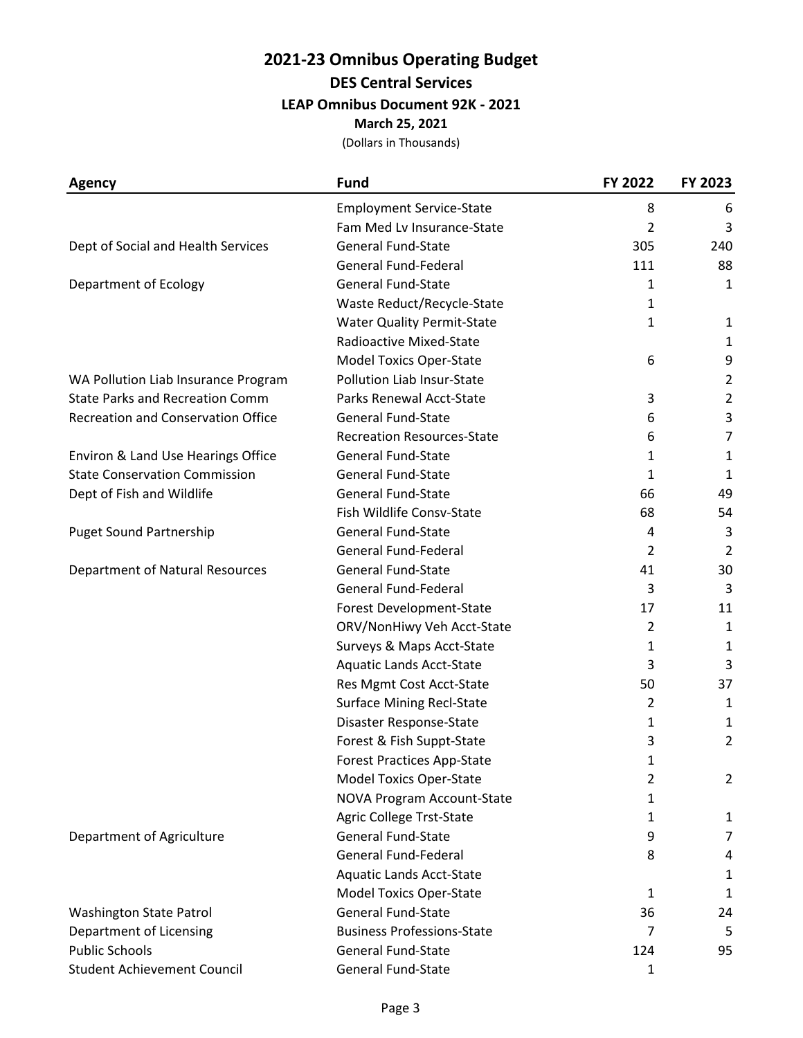### **2021-23 Omnibus Operating Budget DES Central Services**

**LEAP Omnibus Document 92K - 2021**

**March 25, 2021**

(Dollars in Thousands)

| <b>Agency</b>                             | <b>Fund</b>                       | FY 2022        | FY 2023        |
|-------------------------------------------|-----------------------------------|----------------|----------------|
|                                           | <b>Employment Service-State</b>   | 8              | 6              |
|                                           | Fam Med Lv Insurance-State        | 2              | 3              |
| Dept of Social and Health Services        | <b>General Fund-State</b>         | 305            | 240            |
|                                           | <b>General Fund-Federal</b>       | 111            | 88             |
| Department of Ecology                     | <b>General Fund-State</b>         | 1              | 1              |
|                                           | Waste Reduct/Recycle-State        | 1              |                |
|                                           | <b>Water Quality Permit-State</b> | 1              | 1              |
|                                           | Radioactive Mixed-State           |                | 1              |
|                                           | <b>Model Toxics Oper-State</b>    | 6              | 9              |
| WA Pollution Liab Insurance Program       | Pollution Liab Insur-State        |                | $\overline{2}$ |
| <b>State Parks and Recreation Comm</b>    | Parks Renewal Acct-State          | 3              | 2              |
| <b>Recreation and Conservation Office</b> | <b>General Fund-State</b>         | 6              | 3              |
|                                           | <b>Recreation Resources-State</b> | 6              | 7              |
| Environ & Land Use Hearings Office        | <b>General Fund-State</b>         | 1              | $\mathbf{1}$   |
| <b>State Conservation Commission</b>      | <b>General Fund-State</b>         | 1              | 1              |
| Dept of Fish and Wildlife                 | <b>General Fund-State</b>         | 66             | 49             |
|                                           | Fish Wildlife Consv-State         | 68             | 54             |
| <b>Puget Sound Partnership</b>            | <b>General Fund-State</b>         | 4              | 3              |
|                                           | <b>General Fund-Federal</b>       | 2              | $\overline{2}$ |
| <b>Department of Natural Resources</b>    | <b>General Fund-State</b>         | 41             | 30             |
|                                           | <b>General Fund-Federal</b>       | 3              | 3              |
|                                           | Forest Development-State          | 17             | 11             |
|                                           | ORV/NonHiwy Veh Acct-State        | $\overline{2}$ | $\mathbf{1}$   |
|                                           | Surveys & Maps Acct-State         | 1              | $\mathbf{1}$   |
|                                           | <b>Aquatic Lands Acct-State</b>   | 3              | 3              |
|                                           | Res Mgmt Cost Acct-State          | 50             | 37             |
|                                           | <b>Surface Mining Recl-State</b>  | $\overline{2}$ | $\mathbf{1}$   |
|                                           | Disaster Response-State           | 1              | $\mathbf{1}$   |
|                                           | Forest & Fish Suppt-State         | 3              | $\overline{2}$ |
|                                           | <b>Forest Practices App-State</b> | 1              |                |
|                                           | <b>Model Toxics Oper-State</b>    | 2              | $\overline{2}$ |
|                                           | <b>NOVA Program Account-State</b> | 1              |                |
|                                           | Agric College Trst-State          | 1              | $\mathbf{1}$   |
| Department of Agriculture                 | <b>General Fund-State</b>         | 9              | 7              |
|                                           | <b>General Fund-Federal</b>       | 8              | 4              |
|                                           | <b>Aquatic Lands Acct-State</b>   |                | $\mathbf{1}$   |
|                                           | <b>Model Toxics Oper-State</b>    | 1              | $\mathbf{1}$   |
| <b>Washington State Patrol</b>            | <b>General Fund-State</b>         | 36             | 24             |
| Department of Licensing                   | <b>Business Professions-State</b> | 7              | 5              |
| <b>Public Schools</b>                     | <b>General Fund-State</b>         | 124            | 95             |
| <b>Student Achievement Council</b>        | General Fund-State                | 1              |                |